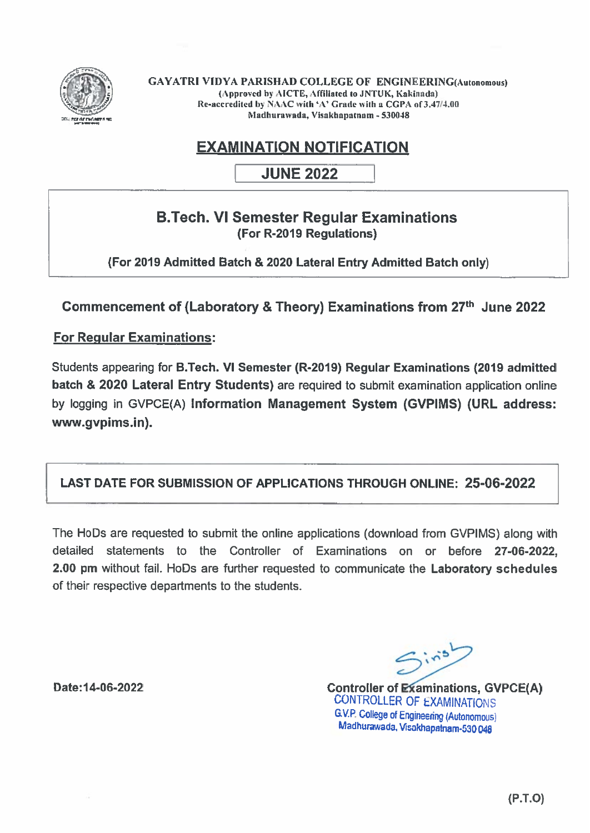

GAYATRI VIDYA PARISHAD COLLEGE OF ENGINEERING(Autonomous) (Approved by AICTE, Affiliated to JNTUK, Kakinada) Re-accredited by NAAC with 'A' Grade with a CGPA of 3.47/4.00 Madhurawada, Visnkbapatnam - 530048

# EXAMINATION NOTIFICATION

JUNE 2022

## B.Tech. VI Semester Regular Examinations (For R-2019 Regulations)

(For 2019 Admitted Batch & 2020 Lateral Entry Admitted Batch only)

Commencement of (Laboratory & Theory) Examinations from 27<sup>th</sup> June 2022

### For Regular Examinations:

Students appearing for B.Tech. VI Semester (R-2019) Regular Examinations (2019 admitted batch & 2020 Lateral Entry Students) are required to submit examination application online by logging in GVPCE(A) Information Management System (GVPIMS) (URL address: www.gvpims.in).

### LAST DATE FOR SUBMISSION OF APPLICATIONS THROUGH ONLINE: 25-06-2022

The HoDs are requested to submit the online applications (download from GVPIMS) along with detailed statements to the Controller of Examinations on or before 27-06-2022, 2.00 pm without fail. HoDs are further requested to communicate the Laboratory schedules of their respective departments to the students.

Date:14-06-2022

 $Sin^5$ 

Controller of Examinations, GVPCE(A) CONTROLLER OF EXAMINATIONS G.V.P. College of Engineering (Autonomous) Madhurawada. Visakhapatnam-530 *048*